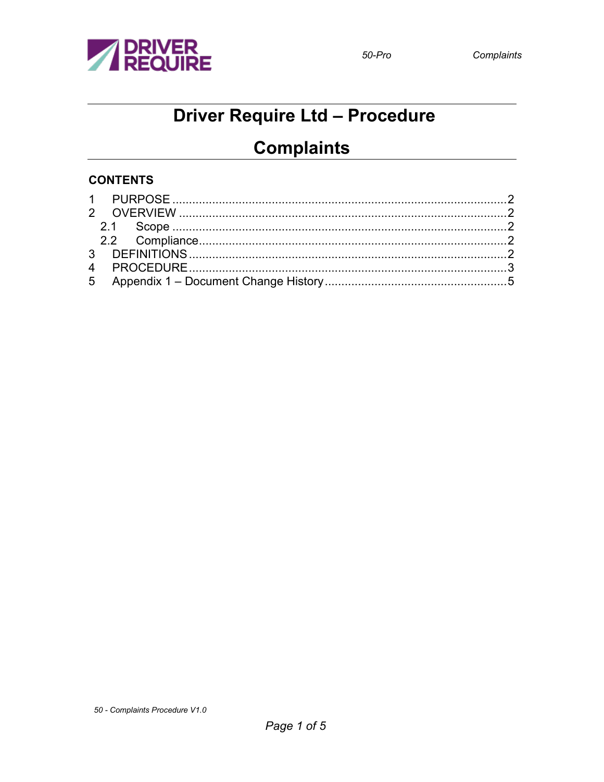

# **Driver Require Ltd - Procedure**

## **Complaints**

#### **CONTENTS**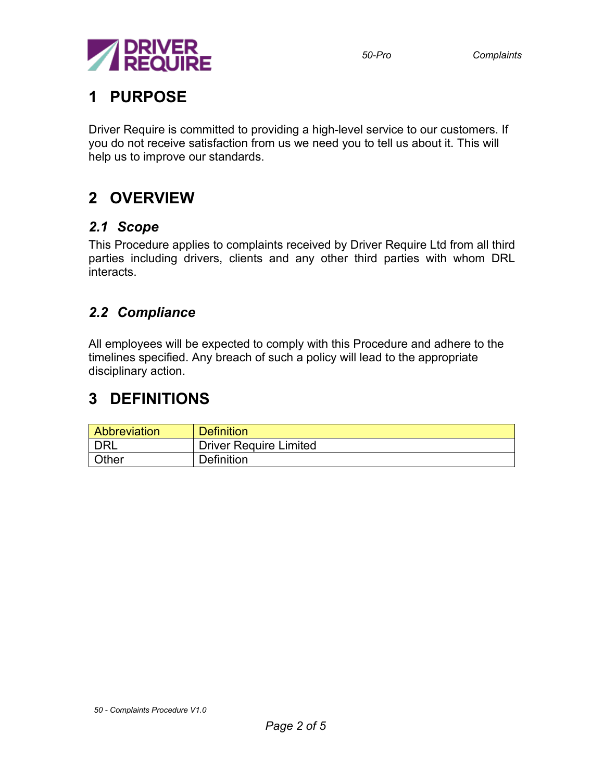

### <span id="page-1-0"></span>**1 PURPOSE**

Driver Require is committed to providing a high-level service to our customers. If you do not receive satisfaction from us we need you to tell us about it. This will help us to improve our standards.

## <span id="page-1-1"></span>**2 OVERVIEW**

#### <span id="page-1-2"></span>*2.1 Scope*

This Procedure applies to complaints received by Driver Require Ltd from all third parties including drivers, clients and any other third parties with whom DRL interacts.

#### <span id="page-1-3"></span>*2.2 Compliance*

All employees will be expected to comply with this Procedure and adhere to the timelines specified. Any breach of such a policy will lead to the appropriate disciplinary action.

### <span id="page-1-4"></span>**3 DEFINITIONS**

| <b>Abbreviation</b> | <b>Definition</b>             |  |
|---------------------|-------------------------------|--|
| <b>DRL</b>          | <b>Driver Require Limited</b> |  |
| Other               | <b>Definition</b>             |  |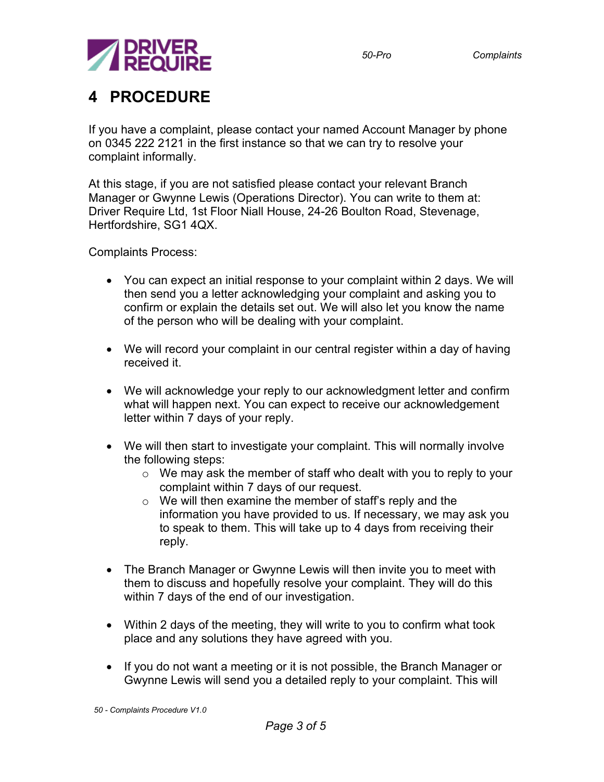

### <span id="page-2-0"></span>**4 PROCEDURE**

If you have a complaint, please contact your named Account Manager by phone on 0345 222 2121 in the first instance so that we can try to resolve your complaint informally.

At this stage, if you are not satisfied please contact your relevant Branch Manager or Gwynne Lewis (Operations Director). You can write to them at: Driver Require Ltd, 1st Floor Niall House, 24-26 Boulton Road, Stevenage, Hertfordshire, SG1 4QX.

Complaints Process:

- You can expect an initial response to your complaint within 2 days. We will then send you a letter acknowledging your complaint and asking you to confirm or explain the details set out. We will also let you know the name of the person who will be dealing with your complaint.
- We will record your complaint in our central register within a day of having received it.
- We will acknowledge your reply to our acknowledgment letter and confirm what will happen next. You can expect to receive our acknowledgement letter within 7 days of your reply.
- We will then start to investigate your complaint. This will normally involve the following steps:
	- o We may ask the member of staff who dealt with you to reply to your complaint within 7 days of our request.
	- $\circ$  We will then examine the member of staff's reply and the information you have provided to us. If necessary, we may ask you to speak to them. This will take up to 4 days from receiving their reply.
- The Branch Manager or Gwynne Lewis will then invite you to meet with them to discuss and hopefully resolve your complaint. They will do this within 7 days of the end of our investigation.
- Within 2 days of the meeting, they will write to you to confirm what took place and any solutions they have agreed with you.
- If you do not want a meeting or it is not possible, the Branch Manager or Gwynne Lewis will send you a detailed reply to your complaint. This will

*50 - Complaints Procedure V1.0*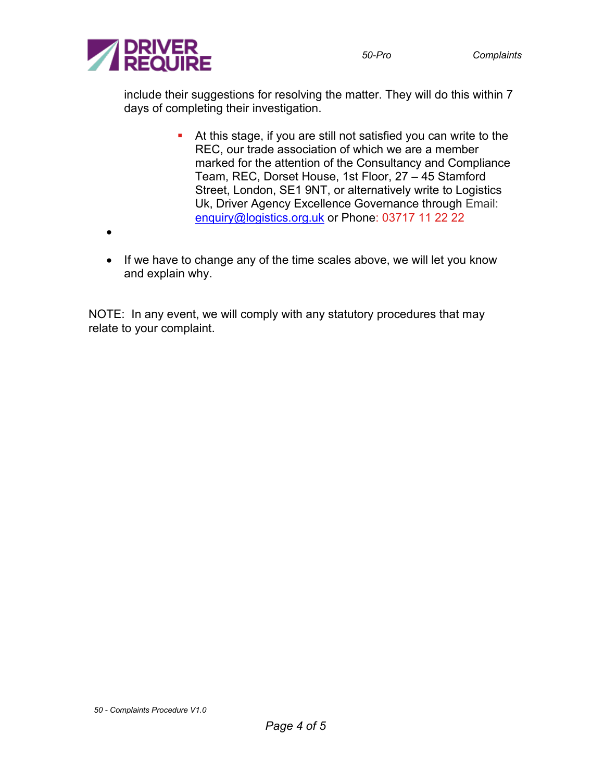

include their suggestions for resolving the matter. They will do this within 7 days of completing their investigation.

- At this stage, if you are still not satisfied you can write to the REC, our trade association of which we are a member marked for the attention of the Consultancy and Compliance Team, REC, Dorset House, 1st Floor, 27 – 45 Stamford Street, London, SE1 9NT, or alternatively write to Logistics Uk, Driver Agency Excellence Governance through Email: [enquiry@logistics.org.uk](mailto:enquiry@logistics.org.uk) or Phone: 03717 11 22 22
- •
- If we have to change any of the time scales above, we will let you know and explain why.

NOTE: In any event, we will comply with any statutory procedures that may relate to your complaint.